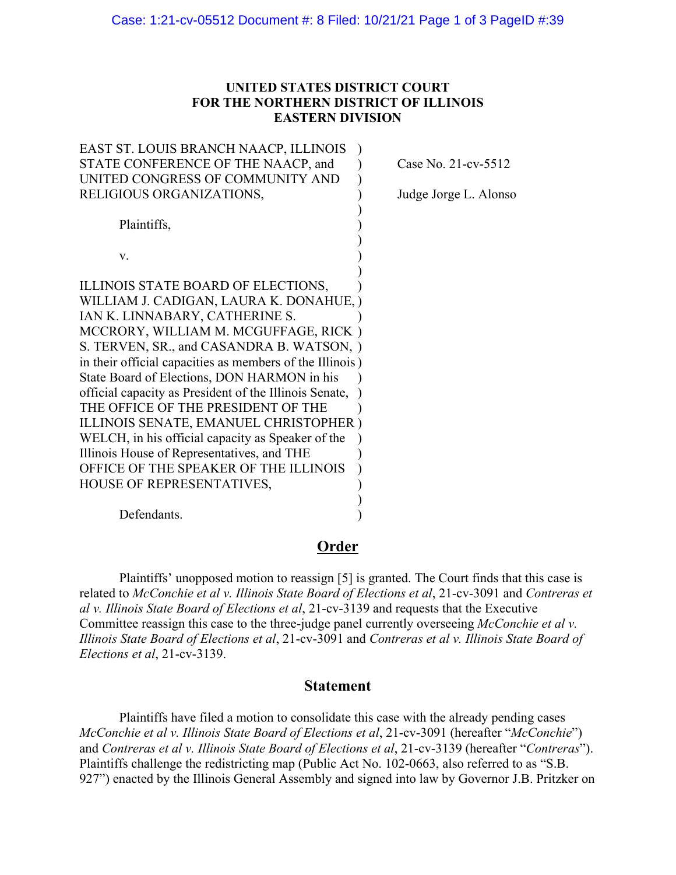## **UNITED STATES DISTRICT COURT FOR THE NORTHERN DISTRICT OF ILLINOIS EASTERN DIVISION**

| EAST ST. LOUIS BRANCH NAACP, ILLINOIS                    |                       |
|----------------------------------------------------------|-----------------------|
| STATE CONFERENCE OF THE NAACP, and                       | Case No. 21-cv-5512   |
| UNITED CONGRESS OF COMMUNITY AND                         |                       |
| RELIGIOUS ORGANIZATIONS,                                 | Judge Jorge L. Alonso |
|                                                          |                       |
| Plaintiffs,                                              |                       |
|                                                          |                       |
| V.                                                       |                       |
|                                                          |                       |
| ILLINOIS STATE BOARD OF ELECTIONS,                       |                       |
| WILLIAM J. CADIGAN, LAURA K. DONAHUE, )                  |                       |
| IAN K. LINNABARY, CATHERINE S.                           |                       |
| MCCRORY, WILLIAM M. MCGUFFAGE, RICK)                     |                       |
| S. TERVEN, SR., and CASANDRA B. WATSON, )                |                       |
| in their official capacities as members of the Illinois) |                       |
| State Board of Elections, DON HARMON in his              |                       |
| official capacity as President of the Illinois Senate,   |                       |
| THE OFFICE OF THE PRESIDENT OF THE                       |                       |
| ILLINOIS SENATE, EMANUEL CHRISTOPHER)                    |                       |
| WELCH, in his official capacity as Speaker of the        |                       |
| Illinois House of Representatives, and THE               |                       |
| OFFICE OF THE SPEAKER OF THE ILLINOIS                    |                       |
| HOUSE OF REPRESENTATIVES,                                |                       |
|                                                          |                       |

Defendants.

## **Order**

Plaintiffs' unopposed motion to reassign [5] is granted. The Court finds that this case is related to *McConchie et al v. Illinois State Board of Elections et al*, 21-cv-3091 and *Contreras et al v. Illinois State Board of Elections et al*, 21-cv-3139 and requests that the Executive Committee reassign this case to the three-judge panel currently overseeing *McConchie et al v. Illinois State Board of Elections et al*, 21-cv-3091 and *Contreras et al v. Illinois State Board of Elections et al*, 21-cv-3139.

## **Statement**

Plaintiffs have filed a motion to consolidate this case with the already pending cases *McConchie et al v. Illinois State Board of Elections et al*, 21-cv-3091 (hereafter "*McConchie*") and *Contreras et al v. Illinois State Board of Elections et al*, 21-cv-3139 (hereafter "*Contreras*"). Plaintiffs challenge the redistricting map (Public Act No. 102-0663, also referred to as "S.B. 927") enacted by the Illinois General Assembly and signed into law by Governor J.B. Pritzker on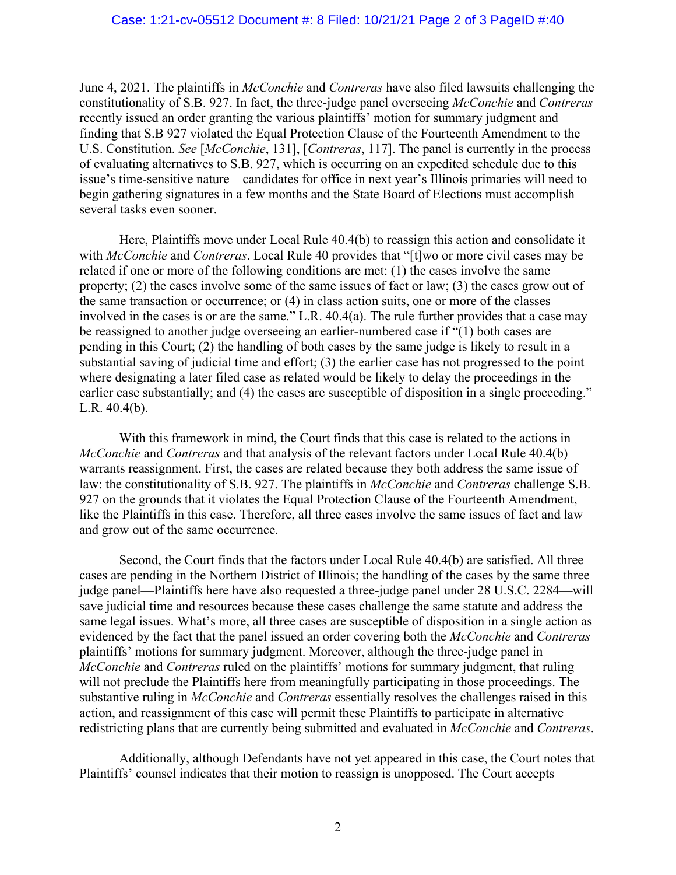June 4, 2021. The plaintiffs in *McConchie* and *Contreras* have also filed lawsuits challenging the constitutionality of S.B. 927. In fact, the three-judge panel overseeing *McConchie* and *Contreras* recently issued an order granting the various plaintiffs' motion for summary judgment and finding that S.B 927 violated the Equal Protection Clause of the Fourteenth Amendment to the U.S. Constitution. *See* [*McConchie*, 131], [*Contreras*, 117]. The panel is currently in the process of evaluating alternatives to S.B. 927, which is occurring on an expedited schedule due to this issue's time-sensitive nature—candidates for office in next year's Illinois primaries will need to begin gathering signatures in a few months and the State Board of Elections must accomplish several tasks even sooner.

Here, Plaintiffs move under Local Rule 40.4(b) to reassign this action and consolidate it with *McConchie* and *Contreras*. Local Rule 40 provides that "[t]wo or more civil cases may be related if one or more of the following conditions are met: (1) the cases involve the same property; (2) the cases involve some of the same issues of fact or law; (3) the cases grow out of the same transaction or occurrence; or (4) in class action suits, one or more of the classes involved in the cases is or are the same." L.R. 40.4(a). The rule further provides that a case may be reassigned to another judge overseeing an earlier-numbered case if "(1) both cases are pending in this Court; (2) the handling of both cases by the same judge is likely to result in a substantial saving of judicial time and effort; (3) the earlier case has not progressed to the point where designating a later filed case as related would be likely to delay the proceedings in the earlier case substantially; and (4) the cases are susceptible of disposition in a single proceeding." L.R. 40.4(b).

With this framework in mind, the Court finds that this case is related to the actions in *McConchie* and *Contreras* and that analysis of the relevant factors under Local Rule 40.4(b) warrants reassignment. First, the cases are related because they both address the same issue of law: the constitutionality of S.B. 927. The plaintiffs in *McConchie* and *Contreras* challenge S.B. 927 on the grounds that it violates the Equal Protection Clause of the Fourteenth Amendment, like the Plaintiffs in this case. Therefore, all three cases involve the same issues of fact and law and grow out of the same occurrence.

Second, the Court finds that the factors under Local Rule 40.4(b) are satisfied. All three cases are pending in the Northern District of Illinois; the handling of the cases by the same three judge panel—Plaintiffs here have also requested a three-judge panel under 28 U.S.C. 2284—will save judicial time and resources because these cases challenge the same statute and address the same legal issues. What's more, all three cases are susceptible of disposition in a single action as evidenced by the fact that the panel issued an order covering both the *McConchie* and *Contreras* plaintiffs' motions for summary judgment. Moreover, although the three-judge panel in *McConchie* and *Contreras* ruled on the plaintiffs' motions for summary judgment, that ruling will not preclude the Plaintiffs here from meaningfully participating in those proceedings. The substantive ruling in *McConchie* and *Contreras* essentially resolves the challenges raised in this action, and reassignment of this case will permit these Plaintiffs to participate in alternative redistricting plans that are currently being submitted and evaluated in *McConchie* and *Contreras*.

Additionally, although Defendants have not yet appeared in this case, the Court notes that Plaintiffs' counsel indicates that their motion to reassign is unopposed. The Court accepts